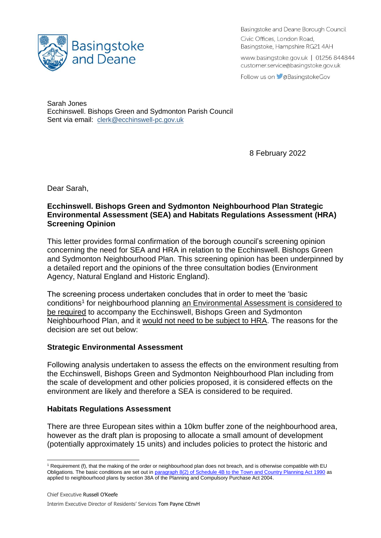

Basingstoke and Deane Borough Council Civic Offices, London Road, Basingstoke, Hampshire RG21 4AH

www.basingstoke.gov.uk | 01256 844844 customer.service@basingstoke.gov.uk

Follow us on **C**aBasingstokeGov

Sarah Jones Ecchinswell. Bishops Green and Sydmonton Parish Council Sent via email: [clerk@ecchinswell-pc.gov.uk](mailto:clerk@ecchinswell-pc.gov.uk)

8 February 2022

Dear Sarah,

## **Ecchinswell. Bishops Green and Sydmonton Neighbourhood Plan Strategic Environmental Assessment (SEA) and Habitats Regulations Assessment (HRA) Screening Opinion**

This letter provides formal confirmation of the borough council's screening opinion concerning the need for SEA and HRA in relation to the Ecchinswell. Bishops Green and Sydmonton Neighbourhood Plan. This screening opinion has been underpinned by a detailed report and the opinions of the three consultation bodies (Environment Agency, Natural England and Historic England).

The screening process undertaken concludes that in order to meet the 'basic conditions<sup>1</sup> for neighbourhood planning an Environmental Assessment is considered to be required to accompany the Ecchinswell, Bishops Green and Sydmonton Neighbourhood Plan, and it would not need to be subject to HRA. The reasons for the decision are set out below:

## **Strategic Environmental Assessment**

Following analysis undertaken to assess the effects on the environment resulting from the Ecchinswell, Bishops Green and Sydmonton Neighbourhood Plan including from the scale of development and other policies proposed, it is considered effects on the environment are likely and therefore a SEA is considered to be required.

## **Habitats Regulations Assessment**

There are three European sites within a 10km buffer zone of the neighbourhood area, however as the draft plan is proposing to allocate a small amount of development (potentially approximately 15 units) and includes policies to protect the historic and

Interim Executive Director of Residents' Services Tom Payne CEnvH

<sup>&</sup>lt;sup>1</sup> Requirement (f), that the making of the order or neighbourhood plan does not breach, and is otherwise compatible with EU Obligations. The basic conditions are set out in [paragraph 8\(2\) of Schedule 4B to the Town and Country Planning Act 1990](http://www.legislation.gov.uk/ukpga/2011/20/schedule/9/enacted) as applied to neighbourhood plans by section 38A of the Planning and Compulsory Purchase Act 2004.